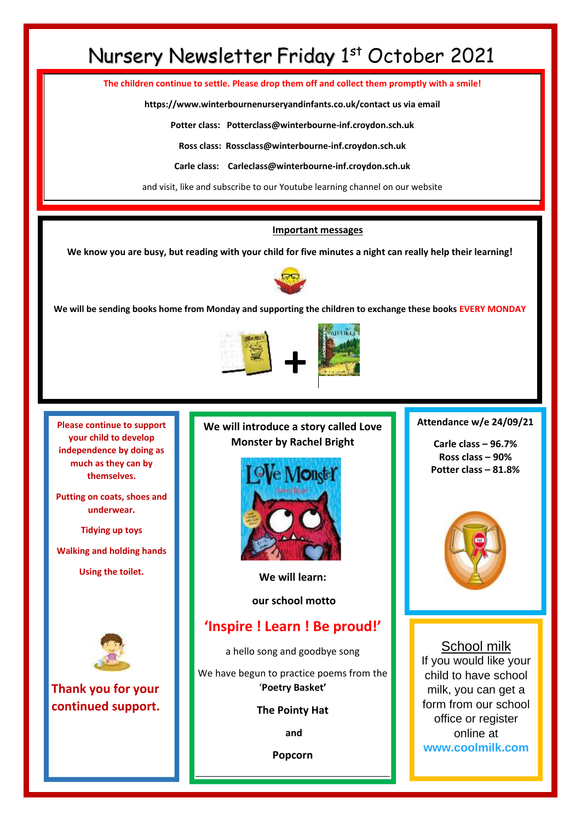# Nursery Newsletter Friday 1st October 2021

**The children continue to settle. Please drop them off and collect them promptly with a smile!**

**https://www.winterbournenurseryandinfants.co.uk/contact us via email**

**Potter class: Potterclass@winterbourne-inf.croydon.sch.uk**

**Ross class: Rossclass@winterbourne-inf.croydon.sch.uk**

**Carle class: Carleclass@winterbourne-inf.croydon.sch.uk**

and visit, like and subscribe to our Youtube learning channel on our website

#### **Important messages**

**We know you are busy, but reading with your child for five minutes a night can really help their learning!**



**We will be sending books home from Monday and supporting the children to exchange these books EVERY MONDAY**



**Please continue to support your child to develop independence by doing as much as they can by themselves.** 

**Putting on coats, shoes and underwear.**

**Tidying up toys**

**Walking and holding hands** 

**Using the toilet.**



**Thank you for your continued support.** **We will introduce a story called Love Monster by Rachel Bright**



**We will learn:**

**our school motto**

## **'Inspire ! Learn ! Be proud!'**

a hello song and goodbye song

We have begun to practice poems from the '**Poetry Basket'**

#### **The Pointy Hat**

**and** 

**Popcorn**

### **Attendance w/e 24/09/21**

**Carle class – 96.7% Ross class – 90% Potter class – 81.8%**



### School milk

If you would like your child to have school milk, you can get a form from our school office or register online at **[www.coolmilk.com](http://www.coolmilk.com/)**